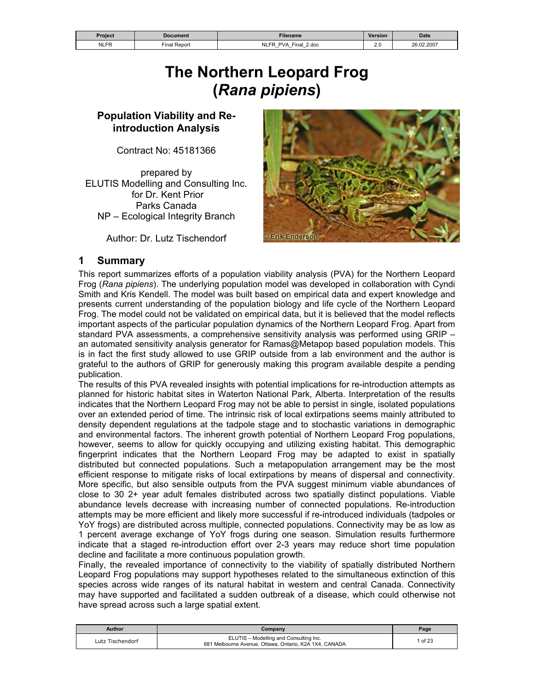| Project     | Document        | <b>Filename</b>                                                              | Version                                 | <b>Date</b> |
|-------------|-----------------|------------------------------------------------------------------------------|-----------------------------------------|-------------|
| <b>NLFR</b> | Report<br>∃inal | NLF'<br>2.doc<br>Final<br><b>PVA</b><br>$\overline{\phantom{0}}$<br>_<br>$-$ | ົ<br>Z.U<br>and the control of the con- | 26.02.2007  |

# **The Northern Leopard Frog (***Rana pipiens***)**

#### **Population Viability and Reintroduction Analysis**

Contract No: 45181366

prepared by ELUTIS Modelling and Consulting Inc. for Dr. Kent Prior Parks Canada NP – Ecological Integrity Branch

Author: Dr. Lutz Tischendorf



#### **1 Summary**

This report summarizes efforts of a population viability analysis (PVA) for the Northern Leopard Frog (*Rana pipiens*). The underlying population model was developed in collaboration with Cyndi Smith and Kris Kendell. The model was built based on empirical data and expert knowledge and presents current understanding of the population biology and life cycle of the Northern Leopard Frog. The model could not be validated on empirical data, but it is believed that the model reflects important aspects of the particular population dynamics of the Northern Leopard Frog. Apart from standard PVA assessments, a comprehensive sensitivity analysis was performed using GRIP – an automated sensitivity analysis generator for Ramas@Metapop based population models. This is in fact the first study allowed to use GRIP outside from a lab environment and the author is grateful to the authors of GRIP for generously making this program available despite a pending publication.

The results of this PVA revealed insights with potential implications for re-introduction attempts as planned for historic habitat sites in Waterton National Park, Alberta. Interpretation of the results indicates that the Northern Leopard Frog may not be able to persist in single, isolated populations over an extended period of time. The intrinsic risk of local extirpations seems mainly attributed to density dependent regulations at the tadpole stage and to stochastic variations in demographic and environmental factors. The inherent growth potential of Northern Leopard Frog populations, however, seems to allow for quickly occupying and utilizing existing habitat. This demographic fingerprint indicates that the Northern Leopard Frog may be adapted to exist in spatially distributed but connected populations. Such a metapopulation arrangement may be the most efficient response to mitigate risks of local extirpations by means of dispersal and connectivity. More specific, but also sensible outputs from the PVA suggest minimum viable abundances of close to 30 2+ year adult females distributed across two spatially distinct populations. Viable abundance levels decrease with increasing number of connected populations. Re-introduction attempts may be more efficient and likely more successful if re-introduced individuals (tadpoles or YoY frogs) are distributed across multiple, connected populations. Connectivity may be as low as 1 percent average exchange of YoY frogs during one season. Simulation results furthermore indicate that a staged re-introduction effort over 2-3 years may reduce short time population decline and facilitate a more continuous population growth.

Finally, the revealed importance of connectivity to the viability of spatially distributed Northern Leopard Frog populations may support hypotheses related to the simultaneous extinction of this species across wide ranges of its natural habitat in western and central Canada. Connectivity may have supported and facilitated a sudden outbreak of a disease, which could otherwise not have spread across such a large spatial extent.

| Author           | Company                                                                                          | Page  |
|------------------|--------------------------------------------------------------------------------------------------|-------|
| Lutz Tischendorf | ELUTIS - Modelling and Consulting Inc.<br>681 Melbourne Avenue, Ottawa, Ontario, K2A 1X4, CANADA | of 23 |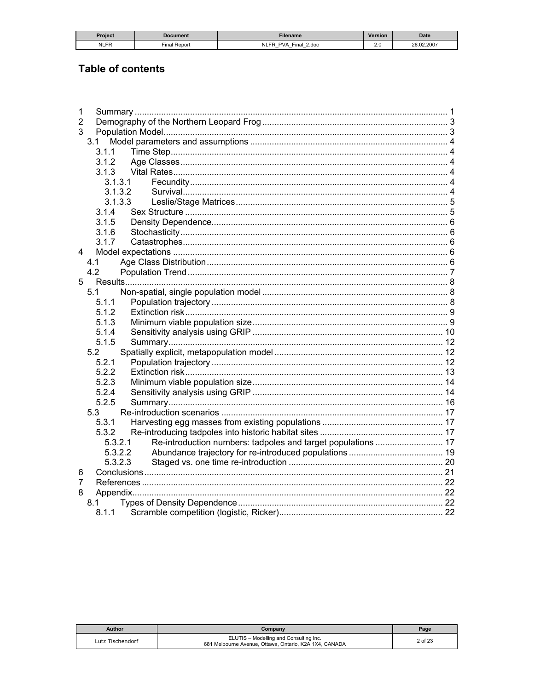| <b>Project</b> | Document     | <b>Filename</b>                                                                                                                 | Version | <b>Date</b> |
|----------------|--------------|---------------------------------------------------------------------------------------------------------------------------------|---------|-------------|
| <b>NLFR</b>    | Final Report | <b>NLFR</b><br>⊆inal<br><b>PVA</b><br>2.doc<br>$\overline{\phantom{0}}$<br>$\overline{\phantom{0}}$<br>$\overline{\phantom{0}}$ | $\sim$  | 26.02.2007  |
|                |              |                                                                                                                                 |         |             |

# **Table of contents**

| 1       |  |
|---------|--|
| 2       |  |
| 3       |  |
| 3.1     |  |
| 3.1.1   |  |
| 3.1.2   |  |
| 3.1.3   |  |
| 3.1.3.1 |  |
| 3.1.3.2 |  |
| 3.1.3.3 |  |
| 3.1.4   |  |
| 3.1.5   |  |
| 3.1.6   |  |
| 3.1.7   |  |
| 4       |  |
| 4.1     |  |
| 4.2     |  |
| 5       |  |
| 5.1     |  |
| 5.1.1   |  |
| 5.1.2   |  |
| 5.1.3   |  |
| 5.1.4   |  |
| 5.1.5   |  |
| 5.2     |  |
| 5.2.1   |  |
| 5.2.2   |  |
| 5.2.3   |  |
| 5.2.4   |  |
| 5.2.5   |  |
| 5.3     |  |
| 5.3.1   |  |
| 5.3.2   |  |
| 5.3.2.1 |  |
| 5.3.2.2 |  |
| 5.3.2.3 |  |
| 6       |  |
| 7       |  |
| 8       |  |
| 8.1     |  |
| 8.1.1   |  |

| Author           | Company                                                                                          | Page    |
|------------------|--------------------------------------------------------------------------------------------------|---------|
| Lutz Tischendorf | ELUTIS - Modelling and Consulting Inc.<br>681 Melbourne Avenue, Ottawa, Ontario, K2A 1X4, CANADA | 2 of 23 |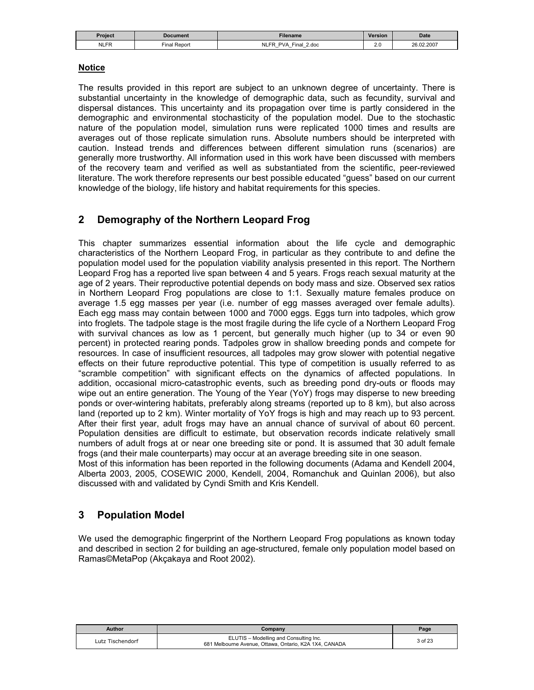| Proiect     | Document                    | Filename                                                                                                 | <b>Version</b> | <b>Date</b> |
|-------------|-----------------------------|----------------------------------------------------------------------------------------------------------|----------------|-------------|
| <b>NLFR</b> | $- \cdot$<br>Repon<br>Final | <b>NLFP</b><br>2.doc<br><b>PVA</b><br>⊏inai<br>-<br>$\overline{\phantom{0}}$<br>$\overline{\phantom{0}}$ | $\sim$<br>2.U  | 26.02.2007  |

#### **Notice**

The results provided in this report are subject to an unknown degree of uncertainty. There is substantial uncertainty in the knowledge of demographic data, such as fecundity, survival and dispersal distances. This uncertainty and its propagation over time is partly considered in the demographic and environmental stochasticity of the population model. Due to the stochastic nature of the population model, simulation runs were replicated 1000 times and results are averages out of those replicate simulation runs. Absolute numbers should be interpreted with caution. Instead trends and differences between different simulation runs (scenarios) are generally more trustworthy. All information used in this work have been discussed with members of the recovery team and verified as well as substantiated from the scientific, peer-reviewed literature. The work therefore represents our best possible educated "guess" based on our current knowledge of the biology, life history and habitat requirements for this species.

### **2 Demography of the Northern Leopard Frog**

This chapter summarizes essential information about the life cycle and demographic characteristics of the Northern Leopard Frog, in particular as they contribute to and define the population model used for the population viability analysis presented in this report. The Northern Leopard Frog has a reported live span between 4 and 5 years. Frogs reach sexual maturity at the age of 2 years. Their reproductive potential depends on body mass and size. Observed sex ratios in Northern Leopard Frog populations are close to 1:1. Sexually mature females produce on average 1.5 egg masses per year (i.e. number of egg masses averaged over female adults). Each egg mass may contain between 1000 and 7000 eggs. Eggs turn into tadpoles, which grow into froglets. The tadpole stage is the most fragile during the life cycle of a Northern Leopard Frog with survival chances as low as 1 percent, but generally much higher (up to 34 or even 90 percent) in protected rearing ponds. Tadpoles grow in shallow breeding ponds and compete for resources. In case of insufficient resources, all tadpoles may grow slower with potential negative effects on their future reproductive potential. This type of competition is usually referred to as "scramble competition" with significant effects on the dynamics of affected populations. In addition, occasional micro-catastrophic events, such as breeding pond dry-outs or floods may wipe out an entire generation. The Young of the Year (YoY) frogs may disperse to new breeding ponds or over-wintering habitats, preferably along streams (reported up to 8 km), but also across land (reported up to 2 km). Winter mortality of YoY frogs is high and may reach up to 93 percent. After their first year, adult frogs may have an annual chance of survival of about 60 percent. Population densities are difficult to estimate, but observation records indicate relatively small numbers of adult frogs at or near one breeding site or pond. It is assumed that 30 adult female frogs (and their male counterparts) may occur at an average breeding site in one season.

Most of this information has been reported in the following documents (Adama and Kendell 2004, Alberta 2003, 2005, COSEWIC 2000, Kendell, 2004, Romanchuk and Quinlan 2006), but also discussed with and validated by Cyndi Smith and Kris Kendell.

### **3 Population Model**

We used the demographic fingerprint of the Northern Leopard Frog populations as known today and described in section 2 for building an age-structured, female only population model based on Ramas©MetaPop (Akçakaya and Root 2002).

| Author           | Company                                                                                          | Page    |
|------------------|--------------------------------------------------------------------------------------------------|---------|
| Lutz Tischendorf | ELUTIS - Modelling and Consulting Inc.<br>681 Melbourne Avenue, Ottawa, Ontario, K2A 1X4, CANADA | 3 of 23 |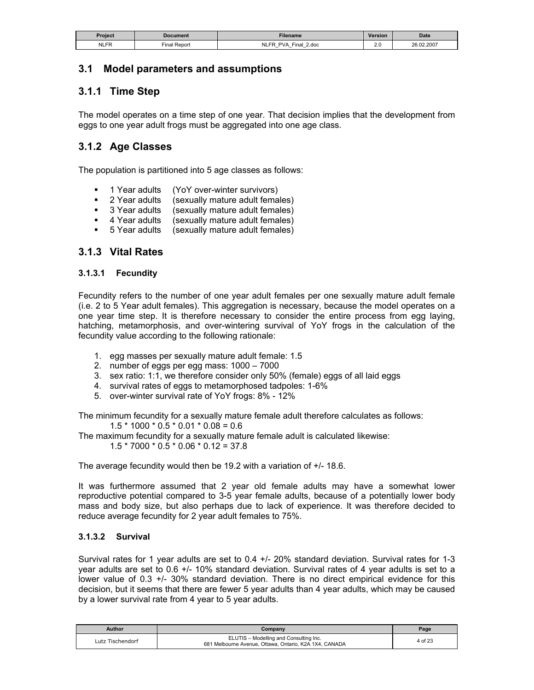| Project     | Document              | <b>Filename</b>                                                                                   | Version               | <b>Date</b> |
|-------------|-----------------------|---------------------------------------------------------------------------------------------------|-----------------------|-------------|
| <b>NLFR</b> | $-$<br>Repor<br>Final | ER<br>Final<br>2.doc<br><b>PVA</b><br>$-$<br>$\overline{\phantom{0}}$<br>$\overline{\phantom{0}}$ | $\Omega$<br>Z.U<br>__ | 26.02.2007  |

### **3.1 Model parameters and assumptions**

# **3.1.1 Time Step**

The model operates on a time step of one year. That decision implies that the development from eggs to one year adult frogs must be aggregated into one age class.

#### **3.1.2 Age Classes**

The population is partitioned into 5 age classes as follows:

- **1 Year adults** (YoY over-winter survivors)
- **2** Year adults (sexually mature adult females)
- **3 Year adults** (sexually mature adult females)
- 4 Year adults (sexually mature adult females)
- 5 Year adults (sexually mature adult females)

#### **3.1.3 Vital Rates**

#### **3.1.3.1 Fecundity**

Fecundity refers to the number of one year adult females per one sexually mature adult female (i.e. 2 to 5 Year adult females). This aggregation is necessary, because the model operates on a one year time step. It is therefore necessary to consider the entire process from egg laying, hatching, metamorphosis, and over-wintering survival of YoY frogs in the calculation of the fecundity value according to the following rationale:

- 1. egg masses per sexually mature adult female: 1.5
- 2. number of eggs per egg mass: 1000 7000
- 3. sex ratio: 1:1, we therefore consider only 50% (female) eggs of all laid eggs
- 4. survival rates of eggs to metamorphosed tadpoles: 1-6%
- 5. over-winter survival rate of YoY frogs: 8% 12%

The minimum fecundity for a sexually mature female adult therefore calculates as follows:

 $1.5 * 1000 * 0.5 * 0.01 * 0.08 = 0.6$ 

The maximum fecundity for a sexually mature female adult is calculated likewise:

 $1.5 * 7000 * 0.5 * 0.06 * 0.12 = 37.8$ 

The average fecundity would then be 19.2 with a variation of +/- 18.6.

It was furthermore assumed that 2 year old female adults may have a somewhat lower reproductive potential compared to 3-5 year female adults, because of a potentially lower body mass and body size, but also perhaps due to lack of experience. It was therefore decided to reduce average fecundity for 2 year adult females to 75%.

#### **3.1.3.2 Survival**

Survival rates for 1 year adults are set to 0.4 +/- 20% standard deviation. Survival rates for 1-3 year adults are set to 0.6 +/- 10% standard deviation. Survival rates of 4 year adults is set to a lower value of 0.3 +/- 30% standard deviation. There is no direct empirical evidence for this decision, but it seems that there are fewer 5 year adults than 4 year adults, which may be caused by a lower survival rate from 4 year to 5 year adults.

| Author           | Company                                                                                          | Page    |
|------------------|--------------------------------------------------------------------------------------------------|---------|
| Lutz Tischendorf | ELUTIS - Modelling and Consulting Inc.<br>681 Melbourne Avenue, Ottawa, Ontario, K2A 1X4, CANADA | 4 of 23 |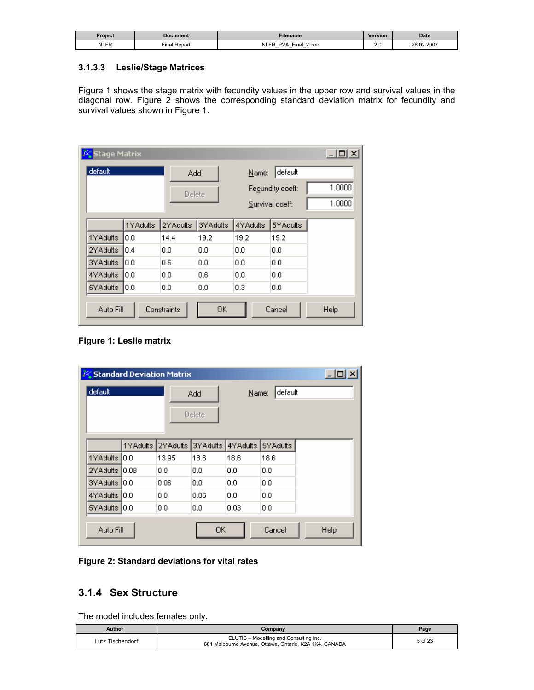| Project     | Document       | Filename                                                                                   | Version   | <b>Date</b> |
|-------------|----------------|--------------------------------------------------------------------------------------------|-----------|-------------|
| <b>NLFR</b> | Repor<br>Final | NLF'<br>2.doc<br>PVA<br>⊆ina⊩<br>$\overline{\phantom{0}}$<br>-<br>$\overline{\phantom{0}}$ | Z.U<br>__ | 26.02.2007  |

#### **3.1.3.3 Leslie/Stage Matrices**

Figure 1 shows the stage matrix with fecundity values in the upper row and survival values in the diagonal row. Figure 2 shows the corresponding standard deviation matrix for fecundity and survival values shown in Figure 1.

| <b>Stage Matrix</b> |          |             |          |          |                  | $ \Box$ $\times$ $\Box$ |
|---------------------|----------|-------------|----------|----------|------------------|-------------------------|
| default             |          | Add         |          | Name:    | default          |                         |
|                     |          | Delete      |          |          | Fegundity coeff: | 1.0000                  |
|                     |          |             |          |          | Survival coeff:  | 1.0000                  |
|                     | 1YAdults | 2YAdults    | 3YAdults | 4YAdults | 5YAdults         |                         |
| 1YAdults            | l0.0     | 14.4        | 19.2     | 19.2     | 19.2             |                         |
| 2YAdults            | 10.4     | 0.0         | 0.0      | 0.0      | 0.0              |                         |
| 3YAdults            | 10.O     | 0.6         | 0.0      | 0.0      | 0.0              |                         |
| 4YAdults            | l0.0     | 0.0         | 0.6      | 0.0      | 0.0              |                         |
| 5YAdults            | 10.0     | 0.0         | 0.0      | 0.3      | 0.0              |                         |
| Auto Fill           |          | Constraints | 0K       |          | Cancel           | Help                    |

#### **Figure 1: Leslie matrix**

| 感              | $\exists$ x<br><b>Standard Deviation Matrix</b> |          |          |          |          |      |  |
|----------------|-------------------------------------------------|----------|----------|----------|----------|------|--|
| default        |                                                 |          | Add      | Name:    | default  |      |  |
|                |                                                 |          | Delete   |          |          |      |  |
|                | 1YAdults                                        | 2YAdults | 3YAdults | 4YAdults | 5YAdults |      |  |
|                |                                                 |          |          |          |          |      |  |
| 1YAdults       | IO.O                                            | 13.95    | 18.6     | 18.6     | 18.6     |      |  |
| 2YAdults       | 0.08                                            | 0.0      | 0.0      | 0.0      | 0.0      |      |  |
| 3YAdults 10.0  |                                                 | 0.06     | 0.0      | 0.0      | 0.0      |      |  |
| 4YAdults 10.0  |                                                 | 0.0      | 0.06     | 0.0      | 0.0      |      |  |
| 5YAdults [0.0] |                                                 | 0.0      | 0.0      | 0.03     | 0.0      |      |  |
| Auto Fill      |                                                 |          | 0K       |          | Cancel   | Help |  |

**Figure 2: Standard deviations for vital rates** 

### **3.1.4 Sex Structure**

The model includes females only.

| Author           | Company                                                                                          | Page    |
|------------------|--------------------------------------------------------------------------------------------------|---------|
| Lutz Tischendorf | ELUTIS - Modelling and Consulting Inc.<br>681 Melbourne Avenue, Ottawa, Ontario, K2A 1X4, CANADA | 5 of 23 |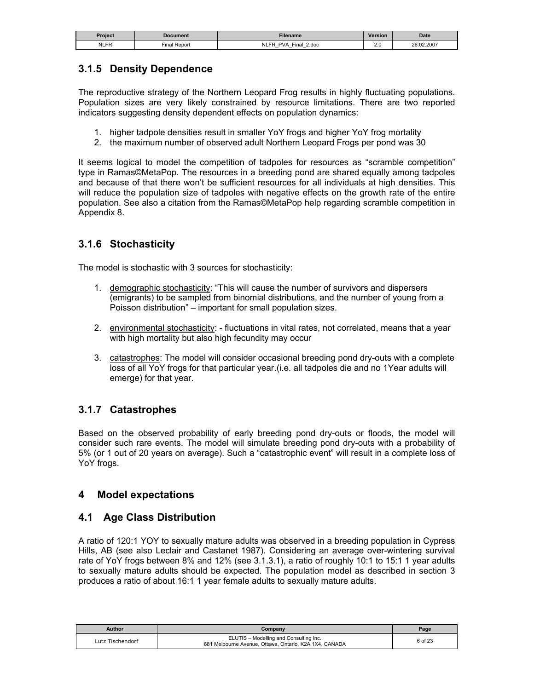| Project     | Document                                | Filename                                                                                   | <b>Version</b> | <b>Date</b> |
|-------------|-----------------------------------------|--------------------------------------------------------------------------------------------|----------------|-------------|
| <b>NLFR</b> | $\overline{\phantom{a}}$ inal,<br>Repor | Nl<br>2.doc<br>PVA<br>⊆ina⊩<br>$-$<br>$\overline{\phantom{0}}$<br>$\overline{\phantom{0}}$ | ົ<br>Z.V<br>__ | 26.02.2007  |

# **3.1.5 Density Dependence**

The reproductive strategy of the Northern Leopard Frog results in highly fluctuating populations. Population sizes are very likely constrained by resource limitations. There are two reported indicators suggesting density dependent effects on population dynamics:

- 1. higher tadpole densities result in smaller YoY frogs and higher YoY frog mortality
- 2. the maximum number of observed adult Northern Leopard Frogs per pond was 30

It seems logical to model the competition of tadpoles for resources as "scramble competition" type in Ramas©MetaPop. The resources in a breeding pond are shared equally among tadpoles and because of that there won't be sufficient resources for all individuals at high densities. This will reduce the population size of tadpoles with negative effects on the growth rate of the entire population. See also a citation from the Ramas©MetaPop help regarding scramble competition in Appendix 8.

# **3.1.6 Stochasticity**

The model is stochastic with 3 sources for stochasticity:

- 1. demographic stochasticity: "This will cause the number of survivors and dispersers (emigrants) to be sampled from binomial distributions, and the number of young from a Poisson distribution" – important for small population sizes.
- 2. environmental stochasticity: fluctuations in vital rates, not correlated, means that a year with high mortality but also high fecundity may occur
- 3. catastrophes: The model will consider occasional breeding pond dry-outs with a complete loss of all YoY frogs for that particular year.(i.e. all tadpoles die and no 1Year adults will emerge) for that year.

# **3.1.7 Catastrophes**

Based on the observed probability of early breeding pond dry-outs or floods, the model will consider such rare events. The model will simulate breeding pond dry-outs with a probability of 5% (or 1 out of 20 years on average). Such a "catastrophic event" will result in a complete loss of YoY frogs.

### **4 Model expectations**

#### **4.1 Age Class Distribution**

A ratio of 120:1 YOY to sexually mature adults was observed in a breeding population in Cypress Hills, AB (see also Leclair and Castanet 1987). Considering an average over-wintering survival rate of YoY frogs between 8% and 12% (see 3.1.3.1), a ratio of roughly 10:1 to 15:1 1 year adults to sexually mature adults should be expected. The population model as described in section 3 produces a ratio of about 16:1 1 year female adults to sexually mature adults.

| Author           | Company                                                                                          | Page    |
|------------------|--------------------------------------------------------------------------------------------------|---------|
| Lutz Tischendorf | ELUTIS - Modelling and Consulting Inc.<br>681 Melbourne Avenue, Ottawa, Ontario, K2A 1X4, CANADA | 6 of 23 |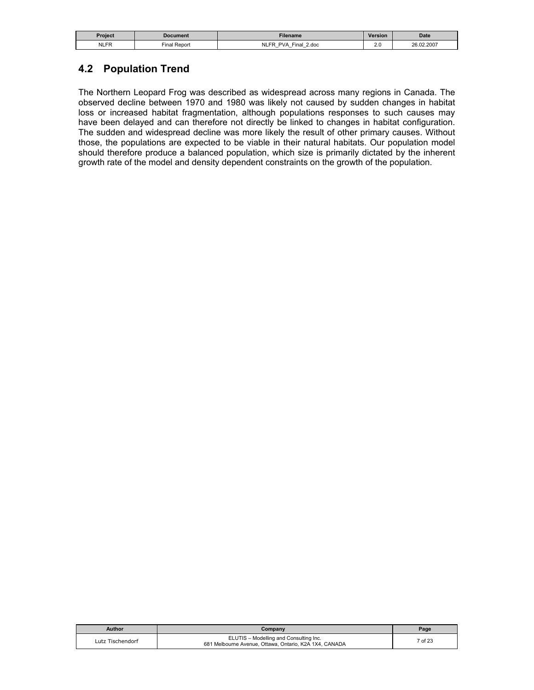| Project     | Document                  | <b>Filename</b>                                                                   | Version                 | <b>Date</b> |
|-------------|---------------------------|-----------------------------------------------------------------------------------|-------------------------|-------------|
| <b>NLFR</b> | $- \cdot$<br>Final Report | <b>NLFR</b><br>2.doc<br>Final<br><b>PVA</b><br>-<br>$\overline{\phantom{0}}$<br>- | $\sim$ $\sim$<br>$\sim$ | 26.02.2007  |

### **4.2 Population Trend**

The Northern Leopard Frog was described as widespread across many regions in Canada. The observed decline between 1970 and 1980 was likely not caused by sudden changes in habitat loss or increased habitat fragmentation, although populations responses to such causes may have been delayed and can therefore not directly be linked to changes in habitat configuration. The sudden and widespread decline was more likely the result of other primary causes. Without those, the populations are expected to be viable in their natural habitats. Our population model should therefore produce a balanced population, which size is primarily dictated by the inherent growth rate of the model and density dependent constraints on the growth of the population.

| Author           | Company                                                                                          | Page    |
|------------------|--------------------------------------------------------------------------------------------------|---------|
| Lutz Tischendorf | ELUTIS - Modelling and Consulting Inc.<br>681 Melbourne Avenue, Ottawa, Ontario, K2A 1X4, CANADA | 7 of 23 |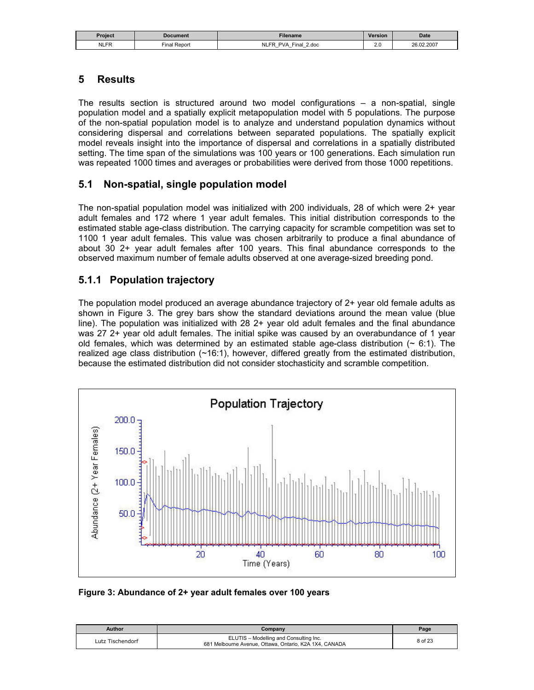| Project     | Document                  | <b>Filename</b>                                                                                     | Version          | <b>Date</b> |
|-------------|---------------------------|-----------------------------------------------------------------------------------------------------|------------------|-------------|
| <b>NLFR</b> | $\sim$<br>Report<br>Final | NLFR<br>Final<br>2.doc<br><b>PVA</b><br>$-$<br>$\overline{\phantom{0}}$<br>$\overline{\phantom{0}}$ | n r<br>Z.U<br>__ | 26.02.2007  |

### **5 Results**

The results section is structured around two model configurations – a non-spatial, single population model and a spatially explicit metapopulation model with 5 populations. The purpose of the non-spatial population model is to analyze and understand population dynamics without considering dispersal and correlations between separated populations. The spatially explicit model reveals insight into the importance of dispersal and correlations in a spatially distributed setting. The time span of the simulations was 100 years or 100 generations. Each simulation run was repeated 1000 times and averages or probabilities were derived from those 1000 repetitions.

### **5.1 Non-spatial, single population model**

The non-spatial population model was initialized with 200 individuals, 28 of which were 2+ year adult females and 172 where 1 year adult females. This initial distribution corresponds to the estimated stable age-class distribution. The carrying capacity for scramble competition was set to 1100 1 year adult females. This value was chosen arbitrarily to produce a final abundance of about 30 2+ year adult females after 100 years. This final abundance corresponds to the observed maximum number of female adults observed at one average-sized breeding pond.

# **5.1.1 Population trajectory**

The population model produced an average abundance trajectory of 2+ year old female adults as shown in Figure 3. The grey bars show the standard deviations around the mean value (blue line). The population was initialized with 28 2+ year old adult females and the final abundance was 27 2+ year old adult females. The initial spike was caused by an overabundance of 1 year old females, which was determined by an estimated stable age-class distribution  $($   $\sim$  6:1). The realized age class distribution (~16:1), however, differed greatly from the estimated distribution, because the estimated distribution did not consider stochasticity and scramble competition.



**Figure 3: Abundance of 2+ year adult females over 100 years** 

| Author           | Company                                                                                          | Page    |
|------------------|--------------------------------------------------------------------------------------------------|---------|
| Lutz Tischendorf | ELUTIS - Modelling and Consulting Inc.<br>681 Melbourne Avenue, Ottawa, Ontario, K2A 1X4, CANADA | 8 of 23 |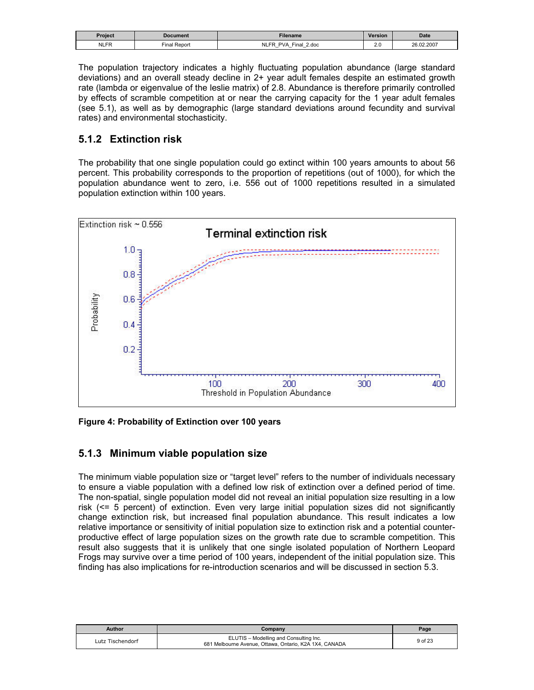| Proiect     | <b>Document</b>  | Filename                                                                     | <b>Version</b> | <b>Date</b> |
|-------------|------------------|------------------------------------------------------------------------------|----------------|-------------|
| <b>NLFR</b> | l Repor<br>∹inal | <b>NLFR</b><br>$final$<br>2.doc<br>PVA<br>-<br>-<br>$\overline{\phantom{0}}$ | 2.0<br>__      | 26.02.2007  |

The population trajectory indicates a highly fluctuating population abundance (large standard deviations) and an overall steady decline in 2+ year adult females despite an estimated growth rate (lambda or eigenvalue of the leslie matrix) of 2.8. Abundance is therefore primarily controlled by effects of scramble competition at or near the carrying capacity for the 1 year adult females (see 5.1), as well as by demographic (large standard deviations around fecundity and survival rates) and environmental stochasticity.

### **5.1.2 Extinction risk**

The probability that one single population could go extinct within 100 years amounts to about 56 percent. This probability corresponds to the proportion of repetitions (out of 1000), for which the population abundance went to zero, i.e. 556 out of 1000 repetitions resulted in a simulated population extinction within 100 years.



**Figure 4: Probability of Extinction over 100 years** 

### **5.1.3 Minimum viable population size**

The minimum viable population size or "target level" refers to the number of individuals necessary to ensure a viable population with a defined low risk of extinction over a defined period of time. The non-spatial, single population model did not reveal an initial population size resulting in a low risk (<= 5 percent) of extinction. Even very large initial population sizes did not significantly change extinction risk, but increased final population abundance. This result indicates a low relative importance or sensitivity of initial population size to extinction risk and a potential counterproductive effect of large population sizes on the growth rate due to scramble competition. This result also suggests that it is unlikely that one single isolated population of Northern Leopard Frogs may survive over a time period of 100 years, independent of the initial population size. This finding has also implications for re-introduction scenarios and will be discussed in section 5.3.

| Author           | Company                                                                                          | Page    |
|------------------|--------------------------------------------------------------------------------------------------|---------|
| Lutz Tischendorf | ELUTIS - Modelling and Consulting Inc.<br>681 Melbourne Avenue, Ottawa, Ontario, K2A 1X4, CANADA | 9 of 23 |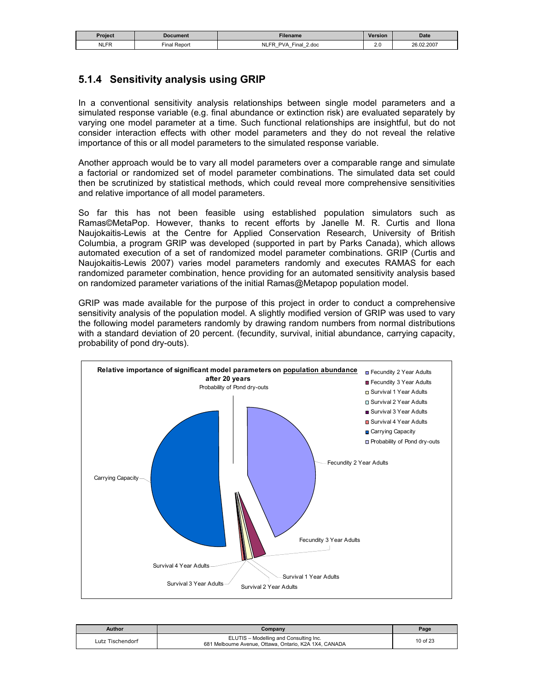| Proiect     | Document                 | <b>Filename</b>                                                                                                           | Version          | <b>Date</b> |
|-------------|--------------------------|---------------------------------------------------------------------------------------------------------------------------|------------------|-------------|
| <b>NLFR</b> | $\sim$<br>Final<br>Repor | NI FR<br>Final<br>2.doc<br><b>PVA</b><br>$\overline{\phantom{0}}$<br>$\overline{\phantom{0}}$<br>$\overline{\phantom{0}}$ | n r<br>Z.U<br>__ | 26.02.2007  |

# **5.1.4 Sensitivity analysis using GRIP**

In a conventional sensitivity analysis relationships between single model parameters and a simulated response variable (e.g. final abundance or extinction risk) are evaluated separately by varying one model parameter at a time. Such functional relationships are insightful, but do not consider interaction effects with other model parameters and they do not reveal the relative importance of this or all model parameters to the simulated response variable.

Another approach would be to vary all model parameters over a comparable range and simulate a factorial or randomized set of model parameter combinations. The simulated data set could then be scrutinized by statistical methods, which could reveal more comprehensive sensitivities and relative importance of all model parameters.

So far this has not been feasible using established population simulators such as Ramas©MetaPop. However, thanks to recent efforts by Janelle M. R. Curtis and Ilona Naujokaitis-Lewis at the Centre for Applied Conservation Research, University of British Columbia, a program GRIP was developed (supported in part by Parks Canada), which allows automated execution of a set of randomized model parameter combinations. GRIP (Curtis and Naujokaitis-Lewis 2007) varies model parameters randomly and executes RAMAS for each randomized parameter combination, hence providing for an automated sensitivity analysis based on randomized parameter variations of the initial Ramas@Metapop population model.

GRIP was made available for the purpose of this project in order to conduct a comprehensive sensitivity analysis of the population model. A slightly modified version of GRIP was used to vary the following model parameters randomly by drawing random numbers from normal distributions with a standard deviation of 20 percent. (fecundity, survival, initial abundance, carrying capacity, probability of pond dry-outs).



| Author           | Company                                                                                          | Page     |
|------------------|--------------------------------------------------------------------------------------------------|----------|
| Lutz Tischendorf | ELUTIS - Modelling and Consulting Inc.<br>681 Melbourne Avenue, Ottawa, Ontario, K2A 1X4, CANADA | 10 of 23 |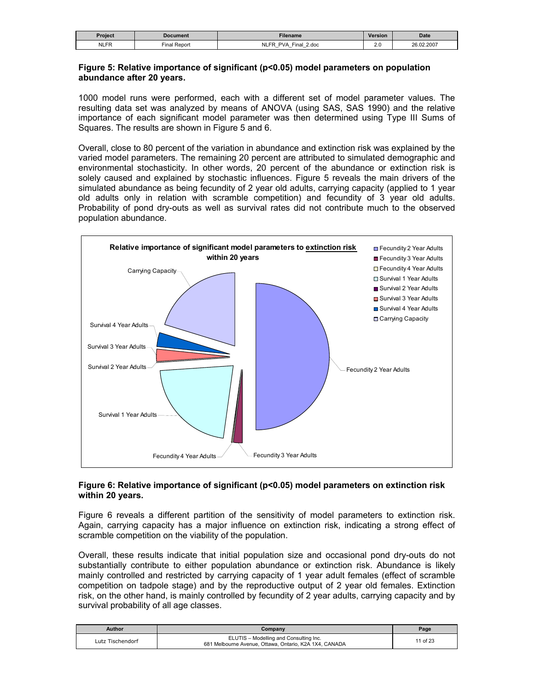| Project     | Document        | <b>Filename</b>                                              | Version                     | <b>Date</b> |
|-------------|-----------------|--------------------------------------------------------------|-----------------------------|-------------|
| <b>NLFR</b> | Report<br>Final | <b>NLFR</b><br><b>PVA</b><br>2.doc<br>Final<br>$-$<br>-<br>- | $\cdot$ $\sim$<br>Z.V<br>__ | 26.02.2007  |

#### **Figure 5: Relative importance of significant (p<0.05) model parameters on population abundance after 20 years.**

1000 model runs were performed, each with a different set of model parameter values. The resulting data set was analyzed by means of ANOVA (using SAS, SAS 1990) and the relative importance of each significant model parameter was then determined using Type III Sums of Squares. The results are shown in Figure 5 and 6.

Overall, close to 80 percent of the variation in abundance and extinction risk was explained by the varied model parameters. The remaining 20 percent are attributed to simulated demographic and environmental stochasticity. In other words, 20 percent of the abundance or extinction risk is solely caused and explained by stochastic influences. Figure 5 reveals the main drivers of the simulated abundance as being fecundity of 2 year old adults, carrying capacity (applied to 1 year old adults only in relation with scramble competition) and fecundity of 3 year old adults. Probability of pond dry-outs as well as survival rates did not contribute much to the observed population abundance.

![](_page_10_Figure_4.jpeg)

#### **Figure 6: Relative importance of significant (p<0.05) model parameters on extinction risk within 20 years.**

Figure 6 reveals a different partition of the sensitivity of model parameters to extinction risk. Again, carrying capacity has a major influence on extinction risk, indicating a strong effect of scramble competition on the viability of the population.

Overall, these results indicate that initial population size and occasional pond dry-outs do not substantially contribute to either population abundance or extinction risk. Abundance is likely mainly controlled and restricted by carrying capacity of 1 year adult females (effect of scramble competition on tadpole stage) and by the reproductive output of 2 year old females. Extinction risk, on the other hand, is mainly controlled by fecundity of 2 year adults, carrying capacity and by survival probability of all age classes.

| Author           | Company                                                                                          | Page     |
|------------------|--------------------------------------------------------------------------------------------------|----------|
| Lutz Tischendorf | ELUTIS - Modelling and Consulting Inc.<br>681 Melbourne Avenue, Ottawa, Ontario, K2A 1X4, CANADA | 11 of 23 |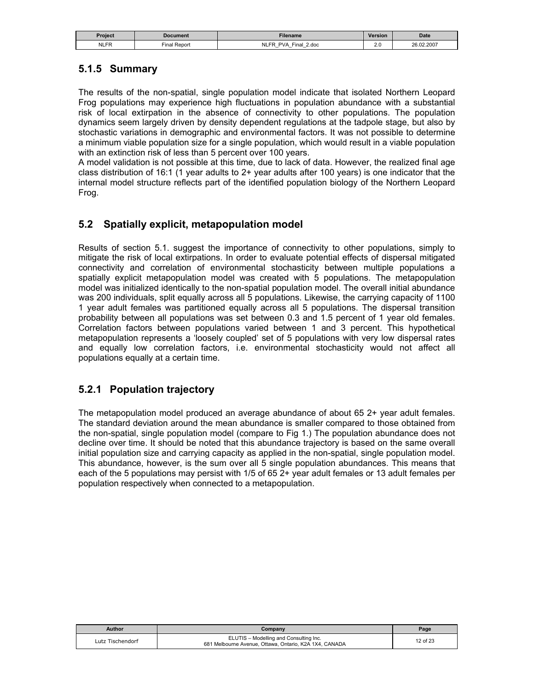| Proiect     | Document                    | Filename                                                                                                 | <b>Version</b> | <b>Date</b> |
|-------------|-----------------------------|----------------------------------------------------------------------------------------------------------|----------------|-------------|
| <b>NLFR</b> | $- \cdot$<br>Repon<br>Final | <b>NLFP</b><br>2.doc<br><b>PVA</b><br>⊏inai<br>-<br>$\overline{\phantom{0}}$<br>$\overline{\phantom{0}}$ | $\sim$<br>2.U  | 26.02.2007  |

# **5.1.5 Summary**

The results of the non-spatial, single population model indicate that isolated Northern Leopard Frog populations may experience high fluctuations in population abundance with a substantial risk of local extirpation in the absence of connectivity to other populations. The population dynamics seem largely driven by density dependent regulations at the tadpole stage, but also by stochastic variations in demographic and environmental factors. It was not possible to determine a minimum viable population size for a single population, which would result in a viable population with an extinction risk of less than 5 percent over 100 years.

A model validation is not possible at this time, due to lack of data. However, the realized final age class distribution of 16:1 (1 year adults to 2+ year adults after 100 years) is one indicator that the internal model structure reflects part of the identified population biology of the Northern Leopard Frog.

# **5.2 Spatially explicit, metapopulation model**

Results of section 5.1. suggest the importance of connectivity to other populations, simply to mitigate the risk of local extirpations. In order to evaluate potential effects of dispersal mitigated connectivity and correlation of environmental stochasticity between multiple populations a spatially explicit metapopulation model was created with 5 populations. The metapopulation model was initialized identically to the non-spatial population model. The overall initial abundance was 200 individuals, split equally across all 5 populations. Likewise, the carrying capacity of 1100 1 year adult females was partitioned equally across all 5 populations. The dispersal transition probability between all populations was set between 0.3 and 1.5 percent of 1 year old females. Correlation factors between populations varied between 1 and 3 percent. This hypothetical metapopulation represents a 'loosely coupled' set of 5 populations with very low dispersal rates and equally low correlation factors, i.e. environmental stochasticity would not affect all populations equally at a certain time.

### **5.2.1 Population trajectory**

The metapopulation model produced an average abundance of about 65 2+ year adult females. The standard deviation around the mean abundance is smaller compared to those obtained from the non-spatial, single population model (compare to Fig 1.) The population abundance does not decline over time. It should be noted that this abundance trajectory is based on the same overall initial population size and carrying capacity as applied in the non-spatial, single population model. This abundance, however, is the sum over all 5 single population abundances. This means that each of the 5 populations may persist with 1/5 of 65 2+ year adult females or 13 adult females per population respectively when connected to a metapopulation.

| <b>Author</b>    | Company                                                                                          | Page     |
|------------------|--------------------------------------------------------------------------------------------------|----------|
| Lutz Tischendorf | ELUTIS - Modelling and Consulting Inc.<br>681 Melbourne Avenue, Ottawa, Ontario, K2A 1X4, CANADA | 12 of 23 |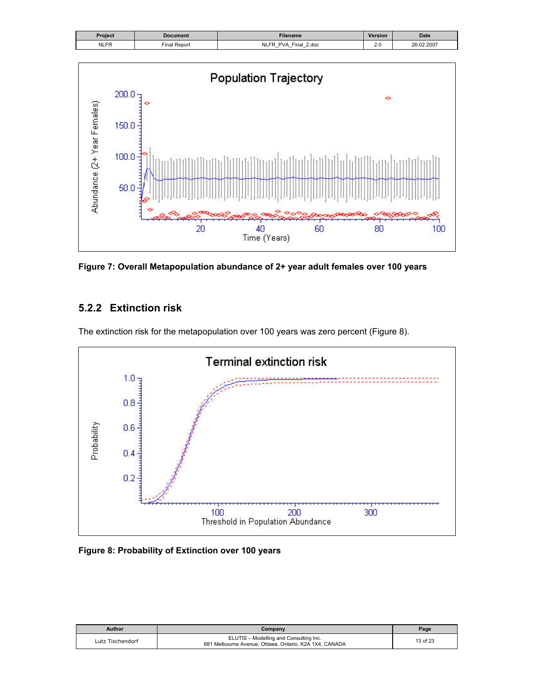![](_page_12_Figure_0.jpeg)

![](_page_12_Figure_1.jpeg)

**Figure 7: Overall Metapopulation abundance of 2+ year adult females over 100 years** 

# **5.2.2 Extinction risk**

The extinction risk for the metapopulation over 100 years was zero percent (Figure 8).

![](_page_12_Figure_5.jpeg)

#### **Figure 8: Probability of Extinction over 100 years**

| Author           | Companv                                                                                          | Page     |
|------------------|--------------------------------------------------------------------------------------------------|----------|
| Lutz Tischendorf | ELUTIS - Modelling and Consulting Inc.<br>681 Melbourne Avenue, Ottawa, Ontario, K2A 1X4, CANADA | 13 of 23 |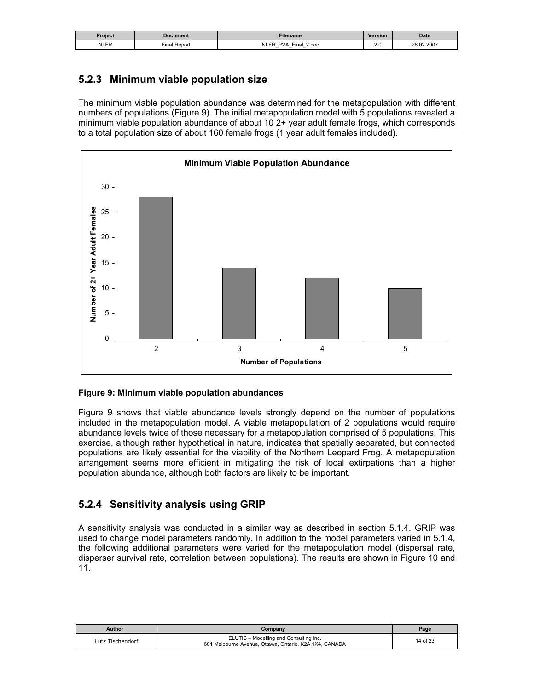| Project     | Document                 | <b>Filename</b>                                                                                     | Version          | <b>Date</b> |
|-------------|--------------------------|-----------------------------------------------------------------------------------------------------|------------------|-------------|
| <b>NLFR</b> | $\sim$<br>Final<br>Repor | $-1$<br>2.doc<br><b>PVA</b><br>Final<br>$-$<br>$\overline{\phantom{0}}$<br>$\overline{\phantom{0}}$ | n r<br>Z.U<br>__ | 26.02.2007  |

# **5.2.3 Minimum viable population size**

The minimum viable population abundance was determined for the metapopulation with different numbers of populations (Figure 9). The initial metapopulation model with 5 populations revealed a minimum viable population abundance of about 10 2+ year adult female frogs, which corresponds to a total population size of about 160 female frogs (1 year adult females included).

![](_page_13_Figure_3.jpeg)

#### **Figure 9: Minimum viable population abundances**

Figure 9 shows that viable abundance levels strongly depend on the number of populations included in the metapopulation model. A viable metapopulation of 2 populations would require abundance levels twice of those necessary for a metapopulation comprised of 5 populations. This exercise, although rather hypothetical in nature, indicates that spatially separated, but connected populations are likely essential for the viability of the Northern Leopard Frog. A metapopulation arrangement seems more efficient in mitigating the risk of local extirpations than a higher population abundance, although both factors are likely to be important.

# **5.2.4 Sensitivity analysis using GRIP**

A sensitivity analysis was conducted in a similar way as described in section 5.1.4. GRIP was used to change model parameters randomly. In addition to the model parameters varied in 5.1.4, the following additional parameters were varied for the metapopulation model (dispersal rate, disperser survival rate, correlation between populations). The results are shown in Figure 10 and 11.

| Author           | Company                                                                                          | Page     |
|------------------|--------------------------------------------------------------------------------------------------|----------|
| Lutz Tischendorf | ELUTIS - Modelling and Consulting Inc.<br>681 Melbourne Avenue, Ottawa, Ontario, K2A 1X4, CANADA | 14 of 23 |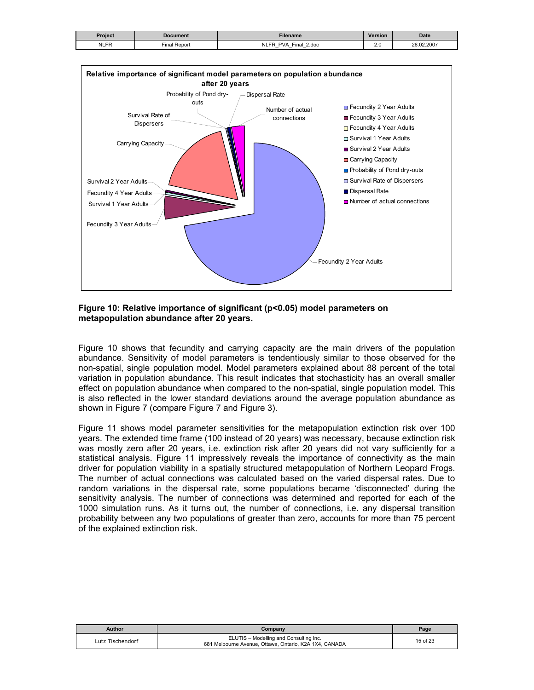| <b>Project</b> | Document               | Filename                                                                         | <b>Version</b> | <b>Date</b> |
|----------------|------------------------|----------------------------------------------------------------------------------|----------------|-------------|
| <b>NLFR</b>    | $-$<br>Report<br>Final | <b>NLFR</b><br>PVA<br>2.doc<br>$Final$ .<br>$-$<br>_<br>$\overline{\phantom{0}}$ | ົ<br>Z.V       | 26.02.2007  |

![](_page_14_Figure_1.jpeg)

**Figure 10: Relative importance of significant (p<0.05) model parameters on metapopulation abundance after 20 years.** 

Figure 10 shows that fecundity and carrying capacity are the main drivers of the population abundance. Sensitivity of model parameters is tendentiously similar to those observed for the non-spatial, single population model. Model parameters explained about 88 percent of the total variation in population abundance. This result indicates that stochasticity has an overall smaller effect on population abundance when compared to the non-spatial, single population model. This is also reflected in the lower standard deviations around the average population abundance as shown in Figure 7 (compare Figure 7 and Figure 3).

Figure 11 shows model parameter sensitivities for the metapopulation extinction risk over 100 years. The extended time frame (100 instead of 20 years) was necessary, because extinction risk was mostly zero after 20 years, i.e. extinction risk after 20 years did not vary sufficiently for a statistical analysis. Figure 11 impressively reveals the importance of connectivity as the main driver for population viability in a spatially structured metapopulation of Northern Leopard Frogs. The number of actual connections was calculated based on the varied dispersal rates. Due to random variations in the dispersal rate, some populations became 'disconnected' during the sensitivity analysis. The number of connections was determined and reported for each of the 1000 simulation runs. As it turns out, the number of connections, i.e. any dispersal transition probability between any two populations of greater than zero, accounts for more than 75 percent of the explained extinction risk.

| <b>Author</b>    | Company                                                                                          | Page     |
|------------------|--------------------------------------------------------------------------------------------------|----------|
| Lutz Tischendorf | ELUTIS - Modelling and Consulting Inc.<br>681 Melbourne Avenue, Ottawa, Ontario, K2A 1X4, CANADA | 15 of 23 |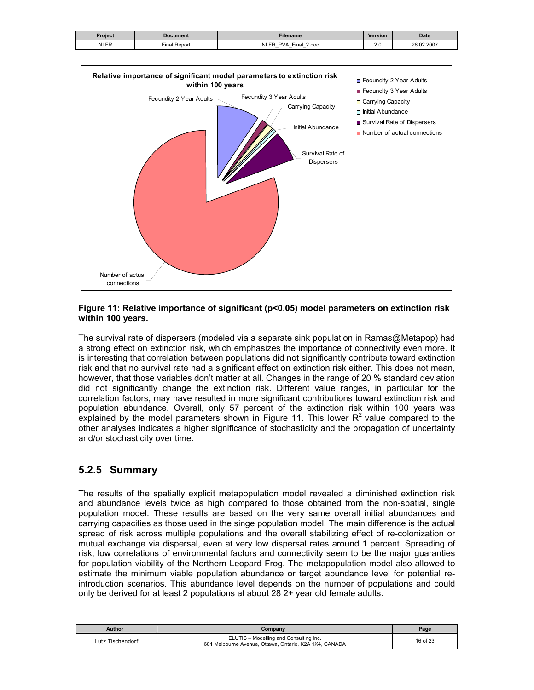| Project     | Document    | <b>Filename</b>                                                               | <b>Version</b> | <b>Date</b> |
|-------------|-------------|-------------------------------------------------------------------------------|----------------|-------------|
| <b>NLFR</b> | inal Report | <b>PVA</b><br>2.doc<br>Final<br>ER.<br>$-$<br>$-$<br>$\overline{\phantom{0}}$ | 2.U            | 26.02.2007  |

![](_page_15_Figure_1.jpeg)

#### **Figure 11: Relative importance of significant (p<0.05) model parameters on extinction risk within 100 years.**

The survival rate of dispersers (modeled via a separate sink population in Ramas@Metapop) had a strong effect on extinction risk, which emphasizes the importance of connectivity even more. It is interesting that correlation between populations did not significantly contribute toward extinction risk and that no survival rate had a significant effect on extinction risk either. This does not mean, however, that those variables don't matter at all. Changes in the range of 20 % standard deviation did not significantly change the extinction risk. Different value ranges, in particular for the correlation factors, may have resulted in more significant contributions toward extinction risk and population abundance. Overall, only 57 percent of the extinction risk within 100 years was explained by the model parameters shown in Figure 11. This lower  $R<sup>2</sup>$  value compared to the other analyses indicates a higher significance of stochasticity and the propagation of uncertainty and/or stochasticity over time.

### **5.2.5 Summary**

The results of the spatially explicit metapopulation model revealed a diminished extinction risk and abundance levels twice as high compared to those obtained from the non-spatial, single population model. These results are based on the very same overall initial abundances and carrying capacities as those used in the singe population model. The main difference is the actual spread of risk across multiple populations and the overall stabilizing effect of re-colonization or mutual exchange via dispersal, even at very low dispersal rates around 1 percent. Spreading of risk, low correlations of environmental factors and connectivity seem to be the major guaranties for population viability of the Northern Leopard Frog. The metapopulation model also allowed to estimate the minimum viable population abundance or target abundance level for potential reintroduction scenarios. This abundance level depends on the number of populations and could only be derived for at least 2 populations at about 28 2+ year old female adults.

| Author           | Company                                                                                          | Page     |
|------------------|--------------------------------------------------------------------------------------------------|----------|
| Lutz Tischendorf | ELUTIS - Modelling and Consulting Inc.<br>681 Melbourne Avenue, Ottawa, Ontario, K2A 1X4, CANADA | 16 of 23 |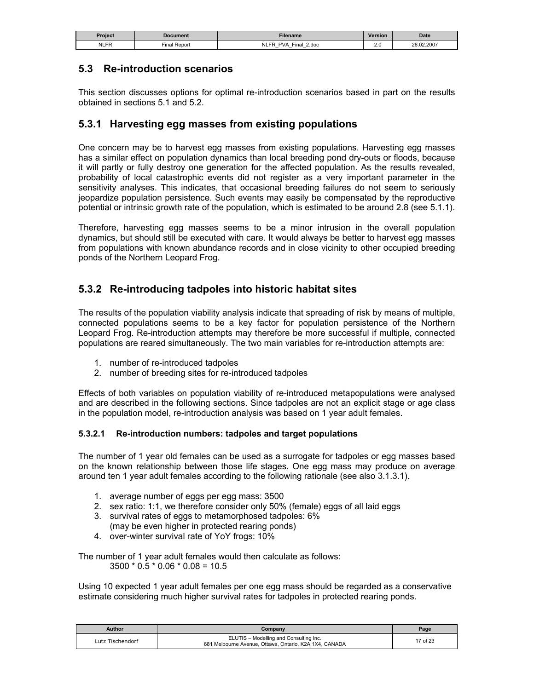| Project     | Document       | Filename                                       | <b>Version</b>       | <b>Date</b> |
|-------------|----------------|------------------------------------------------|----------------------|-------------|
| <b>NLFR</b> | Repor<br>Final | NLF'<br>2.doc<br>PVA<br>⊑inal<br>$-$<br>_<br>– | $\sim$ $\sim$<br>Z.V | 26.02.2007  |

### **5.3 Re-introduction scenarios**

This section discusses options for optimal re-introduction scenarios based in part on the results obtained in sections 5.1 and 5.2.

#### **5.3.1 Harvesting egg masses from existing populations**

One concern may be to harvest egg masses from existing populations. Harvesting egg masses has a similar effect on population dynamics than local breeding pond dry-outs or floods, because it will partly or fully destroy one generation for the affected population. As the results revealed, probability of local catastrophic events did not register as a very important parameter in the sensitivity analyses. This indicates, that occasional breeding failures do not seem to seriously jeopardize population persistence. Such events may easily be compensated by the reproductive potential or intrinsic growth rate of the population, which is estimated to be around 2.8 (see 5.1.1).

Therefore, harvesting egg masses seems to be a minor intrusion in the overall population dynamics, but should still be executed with care. It would always be better to harvest egg masses from populations with known abundance records and in close vicinity to other occupied breeding ponds of the Northern Leopard Frog.

# **5.3.2 Re-introducing tadpoles into historic habitat sites**

The results of the population viability analysis indicate that spreading of risk by means of multiple, connected populations seems to be a key factor for population persistence of the Northern Leopard Frog. Re-introduction attempts may therefore be more successful if multiple, connected populations are reared simultaneously. The two main variables for re-introduction attempts are:

- 1. number of re-introduced tadpoles
- 2. number of breeding sites for re-introduced tadpoles

Effects of both variables on population viability of re-introduced metapopulations were analysed and are described in the following sections. Since tadpoles are not an explicit stage or age class in the population model, re-introduction analysis was based on 1 year adult females.

#### **5.3.2.1 Re-introduction numbers: tadpoles and target populations**

The number of 1 year old females can be used as a surrogate for tadpoles or egg masses based on the known relationship between those life stages. One egg mass may produce on average around ten 1 year adult females according to the following rationale (see also 3.1.3.1).

- 1. average number of eggs per egg mass: 3500
- 2. sex ratio: 1:1, we therefore consider only 50% (female) eggs of all laid eggs
- 3. survival rates of eggs to metamorphosed tadpoles: 6% (may be even higher in protected rearing ponds)
- 4. over-winter survival rate of YoY frogs: 10%

The number of 1 year adult females would then calculate as follows:  $3500 * 0.5 * 0.06 * 0.08 = 10.5$ 

Using 10 expected 1 year adult females per one egg mass should be regarded as a conservative estimate considering much higher survival rates for tadpoles in protected rearing ponds.

| Author           | Company                                                                                          | Page     |
|------------------|--------------------------------------------------------------------------------------------------|----------|
| Lutz Tischendorf | ELUTIS - Modelling and Consulting Inc.<br>681 Melbourne Avenue, Ottawa, Ontario, K2A 1X4, CANADA | 17 of 23 |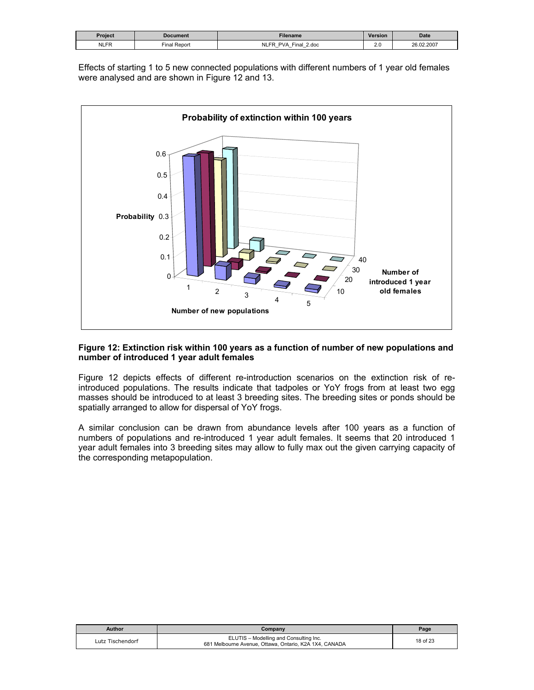| Proiect     | <b>Document</b>  | Filename                                                                     | <b>Version</b> | <b>Date</b> |
|-------------|------------------|------------------------------------------------------------------------------|----------------|-------------|
| <b>NLFR</b> | l Repor<br>∹inal | <b>NLFR</b><br>$final$<br>2.doc<br>PVA<br>-<br>-<br>$\overline{\phantom{0}}$ | 2.0<br>__      | 26.02.2007  |

Effects of starting 1 to 5 new connected populations with different numbers of 1 year old females were analysed and are shown in Figure 12 and 13.

![](_page_17_Figure_2.jpeg)

#### **Figure 12: Extinction risk within 100 years as a function of number of new populations and number of introduced 1 year adult females**

Figure 12 depicts effects of different re-introduction scenarios on the extinction risk of reintroduced populations. The results indicate that tadpoles or YoY frogs from at least two egg masses should be introduced to at least 3 breeding sites. The breeding sites or ponds should be spatially arranged to allow for dispersal of YoY frogs.

A similar conclusion can be drawn from abundance levels after 100 years as a function of numbers of populations and re-introduced 1 year adult females. It seems that 20 introduced 1 year adult females into 3 breeding sites may allow to fully max out the given carrying capacity of the corresponding metapopulation.

| Author           | Company                                                                                          | Page     |
|------------------|--------------------------------------------------------------------------------------------------|----------|
| Lutz Tischendorf | ELUTIS - Modelling and Consulting Inc.<br>681 Melbourne Avenue, Ottawa, Ontario, K2A 1X4, CANADA | 18 of 23 |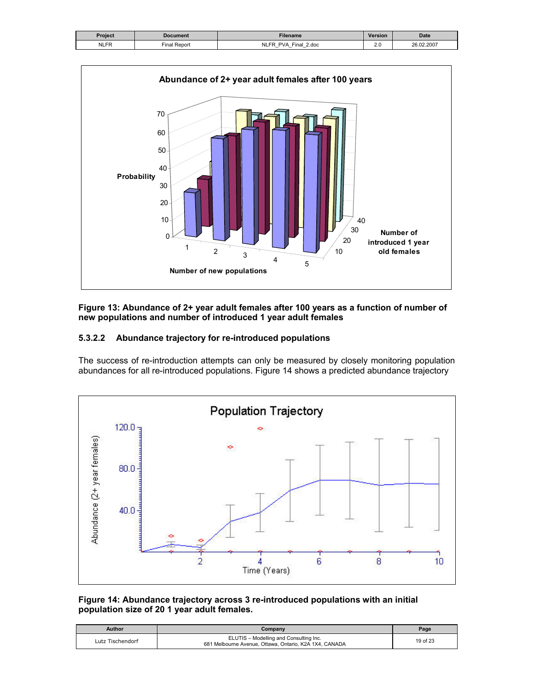| Project     | Document     | <b>Filename</b>                                                         | <b>Version</b> | <b>Date</b> |
|-------------|--------------|-------------------------------------------------------------------------|----------------|-------------|
| <b>NLFR</b> | Final Report | ER<br>Final<br>2.doc<br>PVI<br>NΙ<br>$\overline{\phantom{0}}$<br>-<br>- | Z.V            | 26.02.2007  |

![](_page_18_Figure_1.jpeg)

#### **Figure 13: Abundance of 2+ year adult females after 100 years as a function of number of new populations and number of introduced 1 year adult females**

#### **5.3.2.2 Abundance trajectory for re-introduced populations**

The success of re-introduction attempts can only be measured by closely monitoring population abundances for all re-introduced populations. Figure 14 shows a predicted abundance trajectory

![](_page_18_Figure_5.jpeg)

#### **Figure 14: Abundance trajectory across 3 re-introduced populations with an initial population size of 20 1 year adult females.**

| Author           | Company                                                                                          | Page     |
|------------------|--------------------------------------------------------------------------------------------------|----------|
| Lutz Tischendorf | ELUTIS - Modelling and Consulting Inc.<br>681 Melbourne Avenue, Ottawa, Ontario, K2A 1X4, CANADA | 19 of 23 |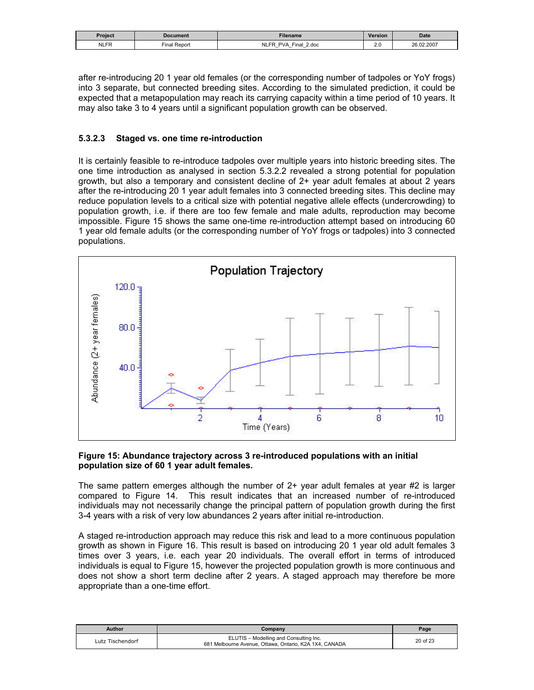| Project     | Document             | <b>Filename</b>                                                        | <b>Version</b> | <b>Date</b> |
|-------------|----------------------|------------------------------------------------------------------------|----------------|-------------|
| <b>NLFR</b> | ' Repon<br>$final$ . | 2.doc<br>P1A<br>Final<br>PVA<br>$-$<br>$\overline{\phantom{0}}$<br>$-$ | Z.V            | 26.02.2007  |

after re-introducing 20 1 year old females (or the corresponding number of tadpoles or YoY frogs) into 3 separate, but connected breeding sites. According to the simulated prediction, it could be expected that a metapopulation may reach its carrying capacity within a time period of 10 years. It may also take 3 to 4 years until a significant population growth can be observed.

#### **5.3.2.3 Staged vs. one time re-introduction**

It is certainly feasible to re-introduce tadpoles over multiple years into historic breeding sites. The one time introduction as analysed in section 5.3.2.2 revealed a strong potential for population growth, but also a temporary and consistent decline of 2+ year adult females at about 2 years after the re-introducing 20 1 year adult females into 3 connected breeding sites. This decline may reduce population levels to a critical size with potential negative allele effects (undercrowding) to population growth, i.e. if there are too few female and male adults, reproduction may become impossible. Figure 15 shows the same one-time re-introduction attempt based on introducing 60 1 year old female adults (or the corresponding number of YoY frogs or tadpoles) into 3 connected populations.

![](_page_19_Figure_4.jpeg)

#### **Figure 15: Abundance trajectory across 3 re-introduced populations with an initial population size of 60 1 year adult females.**

The same pattern emerges although the number of  $2+$  year adult females at year  $#2$  is larger compared to Figure 14. This result indicates that an increased number of re-introduced individuals may not necessarily change the principal pattern of population growth during the first 3-4 years with a risk of very low abundances 2 years after initial re-introduction.

A staged re-introduction approach may reduce this risk and lead to a more continuous population growth as shown in Figure 16. This result is based on introducing 20 1 year old adult females 3 times over 3 years, i.e. each year 20 individuals. The overall effort in terms of introduced individuals is equal to Figure 15, however the projected population growth is more continuous and does not show a short term decline after 2 years. A staged approach may therefore be more appropriate than a one-time effort.

| Author           | Company                                                                                          | Page     |
|------------------|--------------------------------------------------------------------------------------------------|----------|
| Lutz Tischendorf | ELUTIS - Modelling and Consulting Inc.<br>681 Melbourne Avenue, Ottawa, Ontario, K2A 1X4, CANADA | 20 of 23 |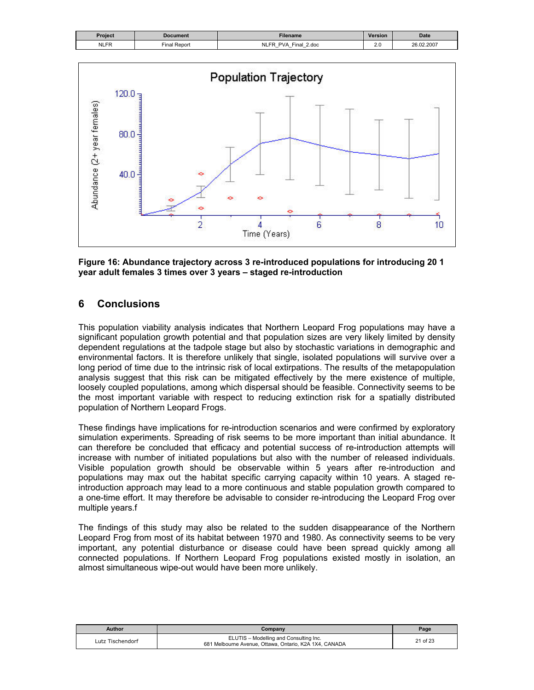| Project     | Document            | <b>Filename</b>                                    | <b>Version</b> | <b>Date</b> |
|-------------|---------------------|----------------------------------------------------|----------------|-------------|
| <b>NLFR</b> | -<br>Repor<br>⊏inal | <b>NLFR</b><br>Final<br>2.doc<br>PV4<br>$-$<br>$-$ | $\sim$<br>__   | 26.02.2007  |

![](_page_20_Figure_1.jpeg)

**Figure 16: Abundance trajectory across 3 re-introduced populations for introducing 20 1 year adult females 3 times over 3 years – staged re-introduction** 

#### **6 Conclusions**

This population viability analysis indicates that Northern Leopard Frog populations may have a significant population growth potential and that population sizes are very likely limited by density dependent regulations at the tadpole stage but also by stochastic variations in demographic and environmental factors. It is therefore unlikely that single, isolated populations will survive over a long period of time due to the intrinsic risk of local extirpations. The results of the metapopulation analysis suggest that this risk can be mitigated effectively by the mere existence of multiple, loosely coupled populations, among which dispersal should be feasible. Connectivity seems to be the most important variable with respect to reducing extinction risk for a spatially distributed population of Northern Leopard Frogs.

These findings have implications for re-introduction scenarios and were confirmed by exploratory simulation experiments. Spreading of risk seems to be more important than initial abundance. It can therefore be concluded that efficacy and potential success of re-introduction attempts will increase with number of initiated populations but also with the number of released individuals. Visible population growth should be observable within 5 years after re-introduction and populations may max out the habitat specific carrying capacity within 10 years. A staged reintroduction approach may lead to a more continuous and stable population growth compared to a one-time effort. It may therefore be advisable to consider re-introducing the Leopard Frog over multiple years.f

The findings of this study may also be related to the sudden disappearance of the Northern Leopard Frog from most of its habitat between 1970 and 1980. As connectivity seems to be very important, any potential disturbance or disease could have been spread quickly among all connected populations. If Northern Leopard Frog populations existed mostly in isolation, an almost simultaneous wipe-out would have been more unlikely.

| Author           | Company                                                                                          | Page     |
|------------------|--------------------------------------------------------------------------------------------------|----------|
| Lutz Tischendorf | ELUTIS - Modelling and Consulting Inc.<br>681 Melbourne Avenue, Ottawa, Ontario, K2A 1X4, CANADA | 21 of 23 |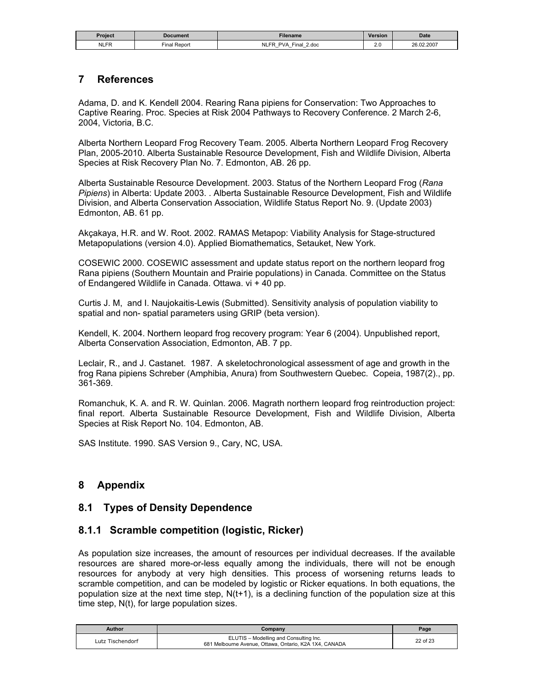| Proiect     | Document                    | Filename                                                                                                 | <b>Version</b> | <b>Date</b> |
|-------------|-----------------------------|----------------------------------------------------------------------------------------------------------|----------------|-------------|
| <b>NLFR</b> | $- \cdot$<br>Repon<br>Final | <b>NLFP</b><br>2.doc<br><b>PVA</b><br>⊏inai<br>-<br>$\overline{\phantom{0}}$<br>$\overline{\phantom{0}}$ | $\sim$<br>2.U  | 26.02.2007  |

#### **7 References**

Adama, D. and K. Kendell 2004. Rearing Rana pipiens for Conservation: Two Approaches to Captive Rearing. Proc. Species at Risk 2004 Pathways to Recovery Conference. 2 March 2-6, 2004, Victoria, B.C.

Alberta Northern Leopard Frog Recovery Team. 2005. Alberta Northern Leopard Frog Recovery Plan, 2005-2010. Alberta Sustainable Resource Development, Fish and Wildlife Division, Alberta Species at Risk Recovery Plan No. 7. Edmonton, AB. 26 pp.

Alberta Sustainable Resource Development. 2003. Status of the Northern Leopard Frog (*Rana Pipiens*) in Alberta: Update 2003. . Alberta Sustainable Resource Development, Fish and Wildlife Division, and Alberta Conservation Association, Wildlife Status Report No. 9. (Update 2003) Edmonton, AB. 61 pp.

Akçakaya, H.R. and W. Root. 2002. RAMAS Metapop: Viability Analysis for Stage-structured Metapopulations (version 4.0). Applied Biomathematics, Setauket, New York.

COSEWIC 2000. COSEWIC assessment and update status report on the northern leopard frog Rana pipiens (Southern Mountain and Prairie populations) in Canada. Committee on the Status of Endangered Wildlife in Canada. Ottawa. vi + 40 pp.

Curtis J. M, and I. Naujokaitis-Lewis (Submitted). Sensitivity analysis of population viability to spatial and non- spatial parameters using GRIP (beta version).

Kendell, K. 2004. Northern leopard frog recovery program: Year 6 (2004). Unpublished report, Alberta Conservation Association, Edmonton, AB. 7 pp.

Leclair, R., and J. Castanet. 1987. A skeletochronological assessment of age and growth in the frog Rana pipiens Schreber (Amphibia, Anura) from Southwestern Quebec. Copeia, 1987(2)., pp. 361-369.

Romanchuk, K. A. and R. W. Quinlan. 2006. Magrath northern leopard frog reintroduction project: final report. Alberta Sustainable Resource Development, Fish and Wildlife Division, Alberta Species at Risk Report No. 104. Edmonton, AB.

SAS Institute. 1990. SAS Version 9., Cary, NC, USA.

### **8 Appendix**

#### **8.1 Types of Density Dependence**

#### **8.1.1 Scramble competition (logistic, Ricker)**

As population size increases, the amount of resources per individual decreases. If the available resources are shared more-or-less equally among the individuals, there will not be enough resources for anybody at very high densities. This process of worsening returns leads to scramble competition, and can be modeled by logistic or Ricker equations. In both equations, the population size at the next time step,  $N(t+1)$ , is a declining function of the population size at this time step, N(t), for large population sizes.

| Author           | Company                                                                                          | $P$ age  |
|------------------|--------------------------------------------------------------------------------------------------|----------|
| Lutz Tischendorf | ELUTIS - Modelling and Consulting Inc.<br>681 Melbourne Avenue, Ottawa, Ontario, K2A 1X4, CANADA | 22 of 23 |